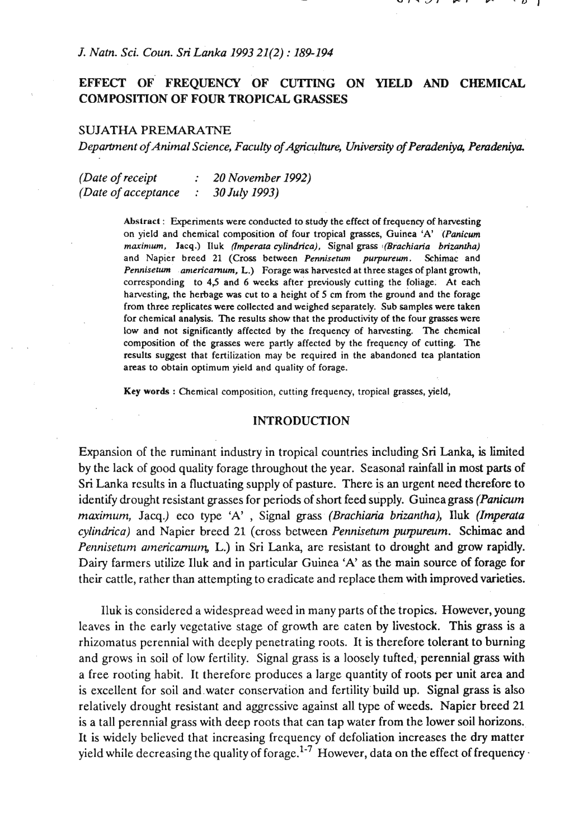## *J. Natn. Sci. Coun. Sri Lmka* 1993 21(2) : 189-194

# EFFECT OF FREQUENCY OF CUTTING ON YIELD AND CHEMICAL **COMPOSITION OF FOUR TROPICAL GRASSES**

## SUJATHA **PREMARATNE**

*Department of Animal Science, Faculty of Agriculture, University of Peradeniya, Peradeniya.* 

*(Date ofreceipt* : <sup>20</sup>*November* 1992) *(Date of acceptance* : <sup>30</sup>*July* 1993)

> **Abstract** : Experiments were conducted to study the effect of frequency of hawesting on yield and chemical composition of four tropical grasses, Guinea **'A' .(Panicurn**   $maximum$ , Jacq.) Iluk *(Imperata cylindrica)*, Signal grass *(Brachiaria brizantha)* and Napier breed 21 (Cross between Pennisetum purpureum. Schimac and Pennisetum americarnum, L.) Forage was harvested at three stages of plant growth, corresponding to **43** and 6 weeks after previously cutting the foliage. At each harvesting, the herbage was cut to a height of 5 cm from the ground and the forage from three replicates were collected and weighed sepantely. Sub samples were taken for chemical analysis. The results show that the productivity of the four **grasses** were low and not significantly affected by the frequency of harvesting. The chemical composition of the grasses were partly affected by the frequency of cutting. The results suggest that fertilization may be required in the abandoned tea plantation areas to obtain optimum yield and quality of forage.

**Key words** : Chemical composition, cutting frequency, tropical grasses, yield,

#### **INTRODUCTION**

Expansion of the ruminant industry in tropical countries including Sri Lanka, is limited by the lack of good quality forage throughout the year. Seasonal rainfall in most parts of Sri Lanka results in a fluctuating supply of pasture. There is an urgent need therefore to identify drought resistant grasses for periods of short feed supply. Guinea grass *(Panicum marimum,* Jacq.) eco type 'A' , Signal grass *(Brachiaria brizantha),* lluk *(Imperata cylindrica)* and Napier breed 21 (cross between *Penniseam purpureum.* Schimac and *Pennisetum americarnum*, L.) in Sri Lanka, are resistant to drought and grow rapidly. Dairy farmers utilize Iluk and in particular Guinea 'A' as the main source of forage for their cattle, rather than attempting to eradicate and replace them with improved varieties.

Iluk is considered a widespread weed in many parts of the tropics. However, young leaves in the early vegetative stage of growth are eaten by livestock. This grass is a rhizomatus perennial with deeply penetrating roots. It is therefore tolerant to burning and grows in soil of low fertility. Signal grass is a loosely tufted, perennial grass with a free rooting habit. It therefore produces a large quantity of roots per unit area and is excellent for soil and water conservation and fertility build up. Signal grass is also relatively drought resistant and aggressive against all type of weeds. Napier breed 21 is a tall perennial grass with deep roots that can tap water from the lower soil horizons.. It is widely believed that increasing frequency of defoliation increases the dry matter yield while decreasing the quality of forage.<sup>1-7</sup> However, data on the effect of frequency -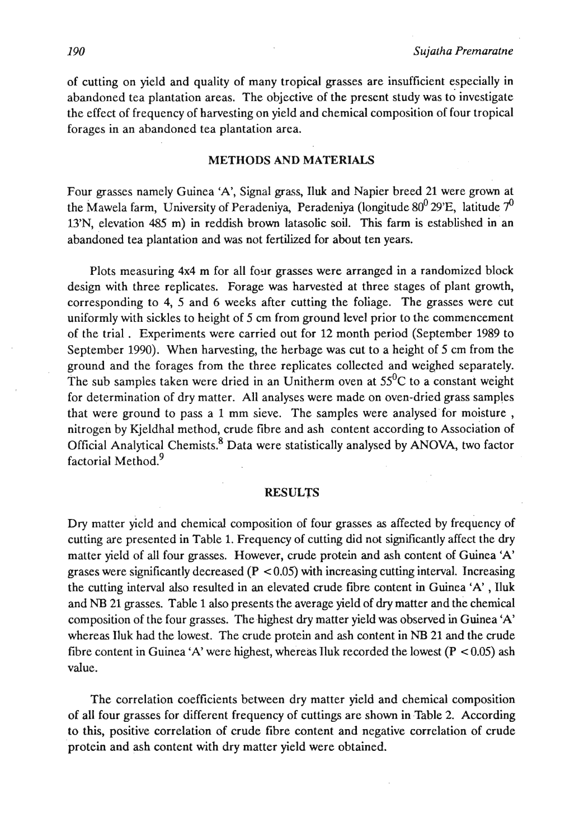of cutting on yield and quality of many tropical grasses are insufficient especially in abandoned tea plantation areas. The objective of the present study was to investigate the effect of frequency of harvesting on yield and chemical composition of four tropical forages in an abandoned tea plantation area.

#### **METHODS AND MATERIALS**

Four grasses namely Guinea 'A', Signal grass, lluk and Napier breed 21 were grown at the Mawela farm, University of Peradeniya, Peradeniya (longitude  $80^0$  29'E, latitude  $7^0$ 13'N, elevation 485 m) in reddish brown latasolic soil. This farm is established in an abandoned tea plantation and was not fertilized for about ten years.

Plots measuring 4x4 m for all four grasses were arranged in a randomized block design with three replicates. Forage was harvested at three stages of plant growth, corresponding to 4, 5 and 6 weeks after cutting the foliage. The grasses were cut uniformly with sickles to height of 5 cm from ground level prior to the commencement of the trial . Experiments were carried out for 12 month period (September 1989 to September 1990). When harvesting, the herbage was cut to a height of 5 cm from the ground and the forages from the three replicates collected and weighed separately. The sub samples taken were dried in an Unitherm oven at  $55^{\circ}$ C to a constant weight for determination of dry matter. All analyses were made on oven-dried grass samples that were ground to pass a 1 mm sieve. The samples were analysed'for moisture , nitrogen by Kjeldhal method, crude fibre and ash content according to Association of Official Analytical Chemists. ${}^{8}$  Data were statistically analysed by ANOVA, two factor factorial Method.<sup>9</sup>

#### **RESULTS**

Dry matter yield and chemical composition of four grasses as affected by frequency of cutting are presented in Table 1. Frequency of cutting did not significantly affect the dry matter yield of all four grasses. However, crude protein and ash content of Guinea 'A' grases were significantly decreased  $(P < 0.05)$  with increasing cutting interval. Increasing the cutting interval also resulted in an elevated crude fibre content in Guinea 'A' , Iluk and **NB** 21 gasses. Table 1 also presents the average yield of dry matter and the chemical composition of the four grasses. The highest dry matter yield was observed in Guinea 'A' whereas Iluk had the lowest. The crude protein and ash content in **NB** 21 and the crude fibre content in Guinea 'A' were highest, whereas Iluk recorded the lowest  $(P < 0.05)$  ash value.

The correlation coefficients between dry matter yield and chemical composition of all four grasses for different frequency of cuttings are shown in Table 2. According to this, positive correlation of crude fibre content and negative correlation of crude protein and ash content with dry matter yield were obtained.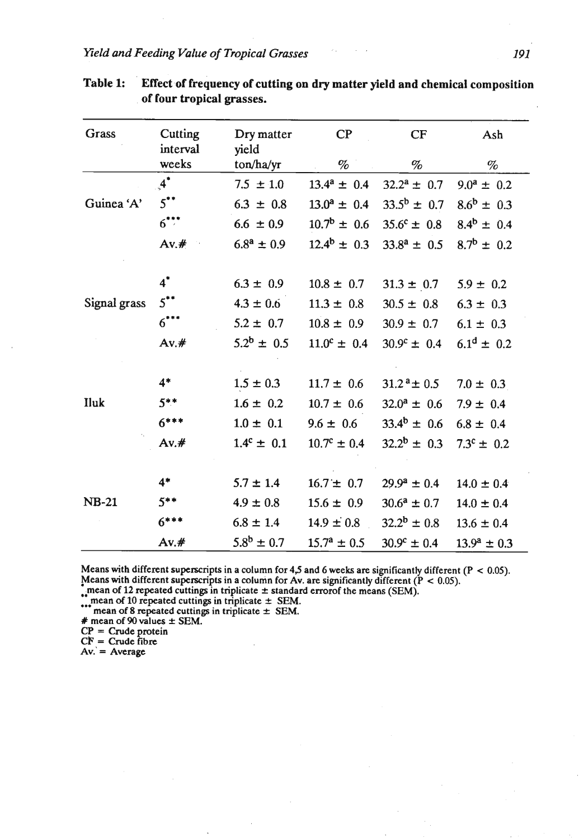| <b>Grass</b> | Cutting<br>interval | Dry matter<br>yield           | $\mathbf{C}$           | CF                     | Ash                   |  |
|--------------|---------------------|-------------------------------|------------------------|------------------------|-----------------------|--|
|              | weeks               | ton/ha/yr                     | $\%$                   | $\%$                   | %                     |  |
|              | $\boldsymbol{A}^*$  | $7.5 \pm 1.0$                 | $13.4^a \pm 0.4$       | $32.2^a \pm 0.7$       | $9.0^a \pm 0.2$       |  |
| Guinea 'A'   | $5$ **              | $6.3 \pm 0.8$                 | $13.0^a \pm 0.4$       | $33.5^b \pm 0.7$       | $8.6^b \pm 0.3$       |  |
|              | $6***$              | $6.6 \pm 0.9$                 | $10.7^{\rm b} \pm 0.6$ | $35.6^{\circ} \pm 0.8$ | $8.4^b \pm 0.4$       |  |
|              | Av.#                | $6.8^{\rm a} \pm 0.9^{\rm c}$ | $12.4^b \pm 0.3$       | $33.8^a \pm 0.5$       | $8.7^b \pm 0.2$       |  |
|              | $4^*$               | $6.3 \pm 0.9$                 | $10.8 \pm 0.7$         | $31.3 \pm 0.7$         | $5.9 \pm 0.2$         |  |
| Signal grass | $5$ **              | $4.3 \pm 0.6$                 | $11.3 \pm 0.8$         | $30.5 \pm 0.8$         | $6.3 \pm 0.3$         |  |
|              | $6***$              | $5.2 \pm 0.7$                 | $10.8 \pm 0.9$         | $30.9 \pm 0.7$         | $6.1 \pm 0.3$         |  |
|              | $Av.$ #             | $5.2^b \pm 0.5$               | $11.0^c \pm 0.4$       | $30.9^{\circ} \pm 0.4$ | $6.1^d \pm 0.2$       |  |
|              | $4*$                | $1.5 \pm 0.3$                 | $11.7 \pm 0.6$         | $31.2^{\,a}$ ± 0.5     | $7.0 \pm 0.3$         |  |
| Iluk         | $5***$              | $1.6 \pm 0.2$                 | $10.7 \pm 0.6$         | $32.0^a \pm 0.6$       | $7.9 \pm 0.4$         |  |
|              | $6***$              | $1.0 \pm 0.1$                 | $9.6 \pm 0.6$          | $33.4^b \pm 0.6$       | $6.8 \pm 0.4$         |  |
|              | $Av.$ #             | $1.4^c \pm 0.1$               | $10.7^{\circ} \pm 0.4$ | $32.2^b \pm 0.3$       | $7.3^{\circ} \pm 0.2$ |  |
| <b>NB-21</b> | $4*$                | $5.7 \pm 1.4$                 | $16.7 \pm 0.7$         | $29.9^a \pm 0.4$       | $14.0 \pm 0.4$        |  |
|              | $5***$              | $4.9 \pm 0.8$                 | $15.6 \pm 0.9$         | $30.6^a \pm 0.7$       | $14.0 \pm 0.4$        |  |
|              | $6***$              | $6.8 \pm 1.4$                 | $14.9 \pm 0.8$         | $32.2^b \pm 0.8$       | $13.6 \pm 0.4$        |  |
|              | $Av.$ #             | $5.8^{\rm b} \pm 0.7$         | $15.7^{\rm a} \pm 0.5$ | $30.9^{\circ} \pm 0.4$ | $13.9^a \pm 0.3$      |  |

| <b>Table 1:</b> | Effect of frequency of cutting on dry matter yield and chemical composition |
|-----------------|-----------------------------------------------------------------------------|
|                 | of four tropical grasses.                                                   |

Means with different superscripts in a column for **43** and 6 weeks are significantly different **(P** < **0.05).**  Means with different superscripts in a column for Av. are significantly different ( $P < 0.05$ ).<br>
"mean of 12 repeated cuttings in triplicate  $\pm$  standard errorof the means (SEM).<br>
"mean of 10 repeated cuttings in triplica

mean or 8 repeated cutting<br> **#** mean of 90 values  $\pm$  SEM.

 $CP = Crude protein$ <br> $CF = Crude fibre$ 

 $Av. = Average$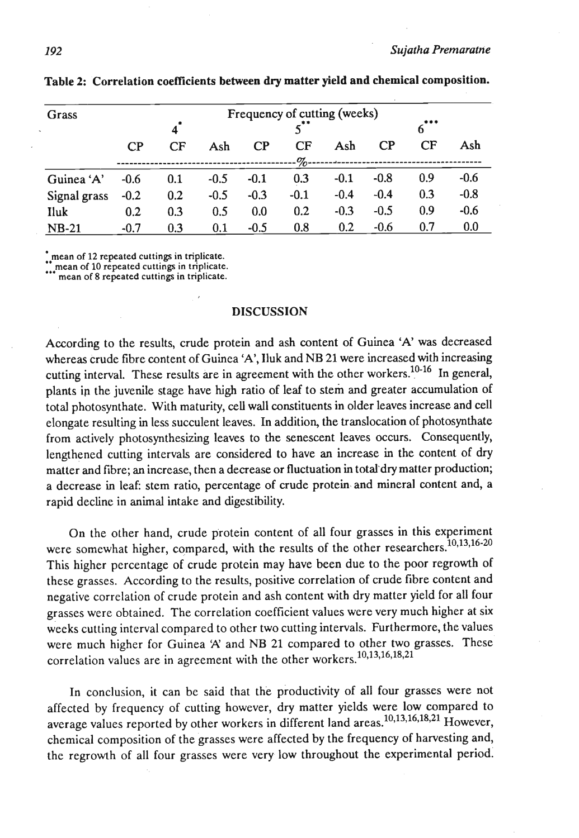| Grass        | Frequency of cutting (weeks)<br>*** |     |        |        |        |        |          |     |        |  |
|--------------|-------------------------------------|-----|--------|--------|--------|--------|----------|-----|--------|--|
|              | $4^*$                               |     |        |        |        |        |          |     |        |  |
|              | $\mathbf{C}$                        | CF  | Ash    | CP     | CF     | Ash    | $\bf CP$ | CF  | Ash    |  |
|              |                                     |     |        |        | $-9$   |        |          |     |        |  |
| Guinea 'A'   | $-0.6$                              | 0.1 | $-0.5$ | $-0.1$ | 0.3    | $-0.1$ | $-0.8$   | 0.9 | $-0.6$ |  |
| Signal grass | $-0.2$                              | 0.2 | $-0.5$ | $-0.3$ | $-0.1$ | $-0.4$ | $-0.4$   | 0.3 | $-0.8$ |  |
| Iluk         | 0.2                                 | 0.3 | 0.5    | 0.0    | 0.2    | $-0.3$ | $-0.5$   | 0.9 | $-0.6$ |  |
| $NB-21$      | $-0.7$                              | 0.3 | 0.1    | $-0.5$ | 0.8    | 0.2    | $-0.6$   | 0.7 | 0.0    |  |

Table 2: Correlation coefficients between **dry** matter yield and chemical composition.

.. **mean of 12 repeated cuttings in triplicate.** 

... **mean of** <sup>10</sup>**repeated cuttings in triplicate. mean of 8 repeated cuttings in triplicate.** 

#### **DISCUSSION**

According to the results, crude protein and ash content of Guinea 'A' was decreased whereas crude fibre content of Guinea 'A', Iluk and NB 21 were increased with increasing cutting interval. These results are in agreement with the other workers.<sup>10-16</sup> In general, plants ip the juvenile stage have high ratio of leaf to stem and greater accumulation of total photosynthate. With maturity, **ceU** wall constituents in older leaves increase and cell elongate resulting in less succulent leaves. In addition, the translocation of photosynthate from actively photosynthesizing leaves to the senescent leaves occurs. Consequently, lengthened cutting intervals are considered to have an increase in the content of dry matter and fibre; an increase, then a decrease or fluctuation in total dry matter production; a decrease in leaf: stem ratio, percentage of crude protein and mineral content and, a rapid decline in animal intake and digestibility.

On the other hand, crude protein content of all four grasses in this experiment were somewhat higher, compared, with the results of the other researchers. 10,13,16-20 This higher percentage of crude protein may have been due to the poor regrowth of these grasses. According to the results, positive correlation of crude fibre content and negative correlation of crude protein and ash content with dry matter yield for all four grasses were obtained. The correlation coefficient values were very much higher at six weeks cutting interval compared to other two cutting intervals. Furthermore, the values were much higher for Guinea 'A' and NB 21 compared to other two grasses. These correlation values are in agreement with the other workers. 10,13,16,18,21

In conclusion, it can be said that the productivity of all four grasses were not affected by frequency of cutting however, dry matter yields were low compared to average values reported by other workers in different land areas.<sup>10,13,16,18,21</sup> However, chemical composition of the grasses were affected by the frequency of harvesting and, the regrowth of all four grasses were very low throughout the experimental period: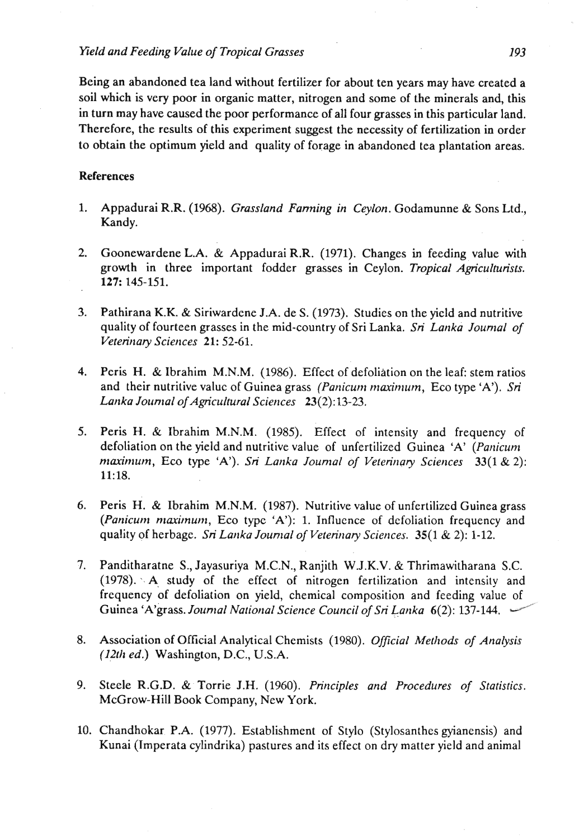### *Yield and Feeding Value of Tropical Grasses 193*

Being an abandoned tea land without fertilizer for about ten years may have created a soil which is very poor in organic matter, nitrogen and some of the minerals and, this in turn may have caused the poor performance of all four grasses in this particular land. Therefore, the results of this experiment suggest the necessity of fertilization in order to obtain the optimum yield and quality of forage in abandoned tea plantation areas.

## **References**

- 1. Appadurai R.R. (1968). *Grassland Farming in Ceylon.* Godamunne & Sons Ltd., Kandy.
- 2. Goonewardene L.A. & Appadurai R.R. (1971). Changes in feeding value with growth in three important fodder grasses in Ceylon. *Tropical Agriculturists.*  127: 145-151.
- **3.** Pathirana K.K. & Siriwardcne J.A. de S. (1973). Studies on the yield and nutritive quality of fourteen grasses in the mid-country of Sri Lanka. *Sri Lartka Journal of Veterinary Sciences* 21: 52-61.
- 4. Peris H. & Ibrahim M.N.M. (1986). Effect of defoliation on the leaf: stem ratios and their nutritive value of Guinea grass *(Panicum maximum, Eco type 'A'). Sri Lanka Jounral of Agricultural Sciences* 23(2):13-23.
- 5. Peris H. & Ibrahim M.N.M. (1985). Effect of intensity and frequency of defoliation on the yield and nutritive value of unfertilized Guinea 'A' *(Panicunr maximum, Eco type 'A'). Sri Lanka Journal of Veterinary Sciences* 33(1 & 2): 11: 18.
- **6.** Peris H. & Ibrahim M.N.M. (1987). Nutritive value of unfertilized Guinea grass *(Panicum maximum, Eco type 'A'): 1. Influence of defoliation frequency and* quality of herbage. *Sri Lanka Journal of Veterinary Sciences*. **35(1 & 2): 1-12.**
- 7. Panditharatne S., Jayasuriya M.C.N., Ranjith W.J.K.V. & Thrimawitharana S.C. (1978). . A study of the effect of nitrogen fertilization and intensity and frequency of defoliation on yield, chemical composition and feeding value of (*Panicum maximum*, Eco type 'A'): 1. Influence of defoliation frequency and<br>quality of herbage. *Sri Lanka Journal of Veterinary Sciences*. 35(1 & 2): 1-12.<br>Panditharatne S., Jayasuriya M.C.N., Ranjith W.J.K.V. & Thrimawi
- 8. Association of Official Analytical Chemists (1980). *Official Methods of Analysis (12th ed.)* Washington, D.C., U.S.A.
- 9. Steele **R.G.D.** & Torrie J.H. (1960). *Principles and Procedures of Statistics.*  McGrow-Hill Book Company, New York.
- 10. Chandhokar P.A. (1977). Establishment of Stylo (Stylosanthes gyianensis) and Kunai (Tmperata cylindrika) pastures and its effect on dry matter yield and animal